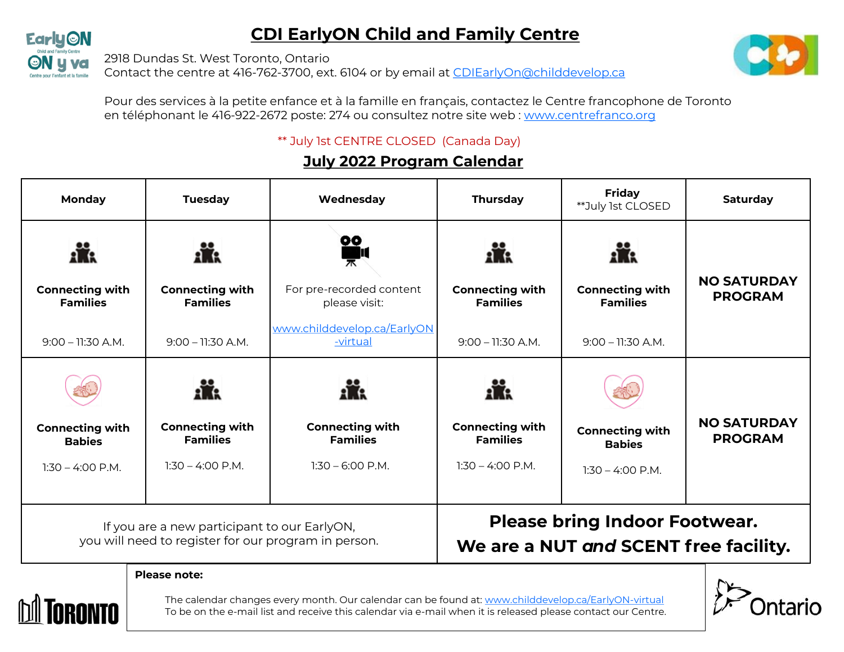## **CDI EarlyON Child and Family Centre**



2918 Dundas St. West Toronto, Ontario

Contact the centre at 416-762-3700, ext. 6104 or by email at [CDIEarlyOn@childdevelop.ca](mailto:CDIEarlyOn@childdevelop.ca)



Pour des services à la petite enfance et à la famille en français, contactez le Centre francophone de Toronto en téléphonant le 416-922-2672 poste: 274 ou consultez notre site web : [www.centrefranco.org](http://www.centrefranco.org)

## \*\* July 1st CENTRE CLOSED (Canada Day)

## **July 2022 Program Calendar**

| Monday                                    | <b>Tuesday</b>                                                                                       | Wednesday                                 | <b>Thursday</b>                                                               | <b>Friday</b><br>**July 1st CLOSED        | Saturday                             |
|-------------------------------------------|------------------------------------------------------------------------------------------------------|-------------------------------------------|-------------------------------------------------------------------------------|-------------------------------------------|--------------------------------------|
|                                           |                                                                                                      | <b>OO</b>                                 |                                                                               |                                           | <b>NO SATURDAY</b>                   |
| <b>Connecting with</b><br><b>Families</b> | <b>Connecting with</b><br><b>Families</b>                                                            | For pre-recorded content<br>please visit: | <b>Connecting with</b><br><b>Families</b>                                     | <b>Connecting with</b><br><b>Families</b> | <b>PROGRAM</b>                       |
| $9:00 - 11:30$ A.M.                       | $9:00 - 11:30$ A.M.                                                                                  | www.childdevelop.ca/EarlyON<br>-virtual   | $9:00 - 11:30$ A.M.                                                           | $9:00 - 11:30$ A.M.                       |                                      |
|                                           |                                                                                                      |                                           |                                                                               |                                           |                                      |
| <b>Connecting with</b><br><b>Babies</b>   | <b>Connecting with</b><br><b>Families</b>                                                            | <b>Connecting with</b><br><b>Families</b> | <b>Connecting with</b><br><b>Families</b>                                     | <b>Connecting with</b><br><b>Babies</b>   | <b>NO SATURDAY</b><br><b>PROGRAM</b> |
| $1:30 - 4:00$ P.M.                        | $1:30 - 4:00$ P.M.                                                                                   | $1:30 - 6:00$ P.M.                        | $1:30 - 4:00$ P.M.                                                            | $1:30 - 4:00$ P.M.                        |                                      |
|                                           |                                                                                                      |                                           |                                                                               |                                           |                                      |
|                                           | If you are a new participant to our EarlyON,<br>you will need to register for our program in person. |                                           | <b>Please bring Indoor Footwear.</b><br>We are a NUT and SCENT free facility. |                                           |                                      |
| Please note:                              |                                                                                                      |                                           |                                                                               |                                           |                                      |



The calendar changes every month. Our calendar can be found at: [www.childdevelop.ca/EarlyON](http://www.childdevelop.ca/EarlyON-virtual)-virtual To be on the e-mail list and receive this calendar via e-mail when it is released please contact our Centre.